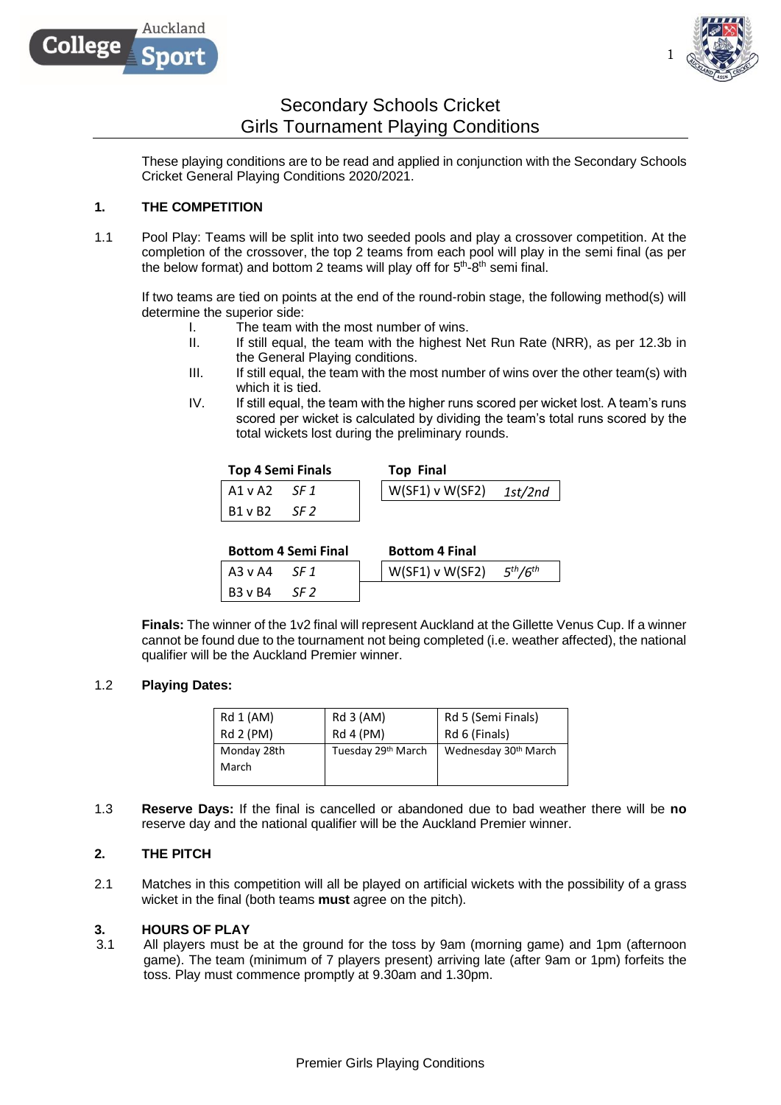



1

# Secondary Schools Cricket Girls Tournament Playing Conditions

These playing conditions are to be read and applied in conjunction with the Secondary Schools Cricket General Playing Conditions 2020/2021.

# **1. THE COMPETITION**

1.1 Pool Play: Teams will be split into two seeded pools and play a crossover competition. At the completion of the crossover, the top 2 teams from each pool will play in the semi final (as per the below format) and bottom 2 teams will play off for  $5<sup>th</sup>$ -8<sup>th</sup> semi final.

If two teams are tied on points at the end of the round-robin stage, the following method(s) will determine the superior side:

- I. The team with the most number of wins.
- II. If still equal, the team with the highest Net Run Rate (NRR), as per 12.3b in the General Playing conditions.
- III. If still equal, the team with the most number of wins over the other team(s) with which it is tied.
- IV. If still equal, the team with the higher runs scored per wicket lost. A team's runs scored per wicket is calculated by dividing the team's total runs scored by the total wickets lost during the preliminary rounds.

| <b>Top 4 Semi Finals</b> | <b>Top Final</b>                |
|--------------------------|---------------------------------|
| A1 v A2<br>SF 1          | $\vert$ W(SF1) v W(SF2) 1st/2nd |
| B1 v B2<br>SF 2          |                                 |

|                | <b>Bottom 4 Semi Final</b> | <b>Bottom 4 Final</b>             |  |
|----------------|----------------------------|-----------------------------------|--|
| l A3 v A4      | SF 1                       | $W(SF1)$ v W(SF2) $5^{th}/6^{th}$ |  |
| <b>B3</b> v B4 | SF 2                       |                                   |  |

**Finals:** The winner of the 1v2 final will represent Auckland at the Gillette Venus Cup. If a winner cannot be found due to the tournament not being completed (i.e. weather affected), the national qualifier will be the Auckland Premier winner.

# 1.2 **Playing Dates:**

| Rd 1 (AM)   | Rd 3 (AM)          | Rd 5 (Semi Finals)   |
|-------------|--------------------|----------------------|
| Rd 2 (PM)   | Rd 4 (PM)          | Rd 6 (Finals)        |
| Monday 28th | Tuesday 29th March | Wednesday 30th March |
|             |                    |                      |
| March       |                    |                      |

1.3 **Reserve Days:** If the final is cancelled or abandoned due to bad weather there will be **no**  reserve day and the national qualifier will be the Auckland Premier winner.

# **2. THE PITCH**

2.1 Matches in this competition will all be played on artificial wickets with the possibility of a grass wicket in the final (both teams **must** agree on the pitch).

# **3. HOURS OF PLAY**

3.1 All players must be at the ground for the toss by 9am (morning game) and 1pm (afternoon game). The team (minimum of 7 players present) arriving late (after 9am or 1pm) forfeits the toss. Play must commence promptly at 9.30am and 1.30pm.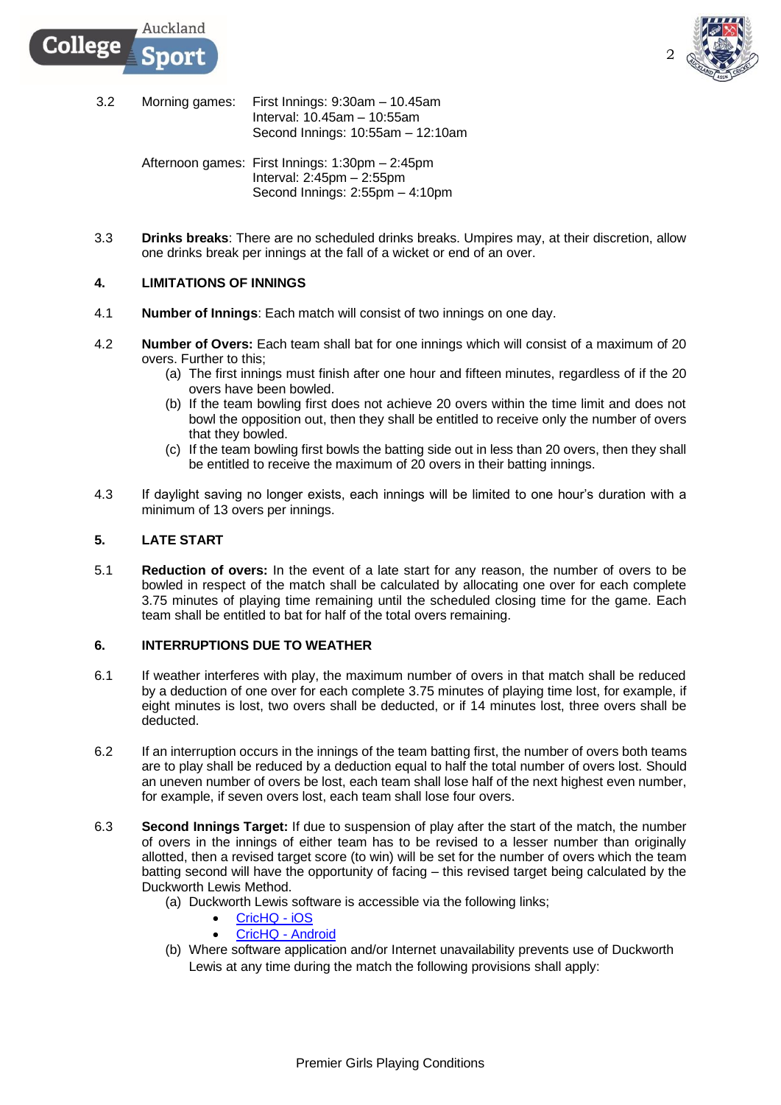

- 3.2 Morning games: First Innings: 9:30am 10.45am Interval: 10.45am – 10:55am Second Innings: 10:55am – 12:10am
	- Afternoon games: First Innings: 1:30pm 2:45pm Interval: 2:45pm – 2:55pm Second Innings: 2:55pm – 4:10pm
- 3.3 **Drinks breaks**: There are no scheduled drinks breaks. Umpires may, at their discretion, allow one drinks break per innings at the fall of a wicket or end of an over.

# **4. LIMITATIONS OF INNINGS**

Auckland

nor

ollege:

- 4.1 **Number of Innings**: Each match will consist of two innings on one day.
- 4.2 **Number of Overs:** Each team shall bat for one innings which will consist of a maximum of 20 overs. Further to this;
	- (a) The first innings must finish after one hour and fifteen minutes, regardless of if the 20 overs have been bowled.
	- (b) If the team bowling first does not achieve 20 overs within the time limit and does not bowl the opposition out, then they shall be entitled to receive only the number of overs that they bowled.
	- (c) If the team bowling first bowls the batting side out in less than 20 overs, then they shall be entitled to receive the maximum of 20 overs in their batting innings.
- 4.3 If daylight saving no longer exists, each innings will be limited to one hour's duration with a minimum of 13 overs per innings.

# **5. LATE START**

5.1 **Reduction of overs:** In the event of a late start for any reason, the number of overs to be bowled in respect of the match shall be calculated by allocating one over for each complete 3.75 minutes of playing time remaining until the scheduled closing time for the game. Each team shall be entitled to bat for half of the total overs remaining.

# **6. INTERRUPTIONS DUE TO WEATHER**

- 6.1 If weather interferes with play, the maximum number of overs in that match shall be reduced by a deduction of one over for each complete 3.75 minutes of playing time lost, for example, if eight minutes is lost, two overs shall be deducted, or if 14 minutes lost, three overs shall be deducted.
- 6.2 If an interruption occurs in the innings of the team batting first, the number of overs both teams are to play shall be reduced by a deduction equal to half the total number of overs lost. Should an uneven number of overs be lost, each team shall lose half of the next highest even number, for example, if seven overs lost, each team shall lose four overs.
- 6.3 **Second Innings Target:** If due to suspension of play after the start of the match, the number of overs in the innings of either team has to be revised to a lesser number than originally allotted, then a revised target score (to win) will be set for the number of overs which the team batting second will have the opportunity of facing – this revised target being calculated by the Duckworth Lewis Method.
	- (a) Duckworth Lewis software is accessible via the following links;
		- [CricHQ -](https://itunes.apple.com/nz/app/crichq/id395809277?mt=8) iOS
		- [CricHQ -](https://play.google.com/store/apps/details?id=nz.co.nuffie.android.crichq&hl=en) Android
	- (b) Where software application and/or Internet unavailability prevents use of Duckworth Lewis at any time during the match the following provisions shall apply: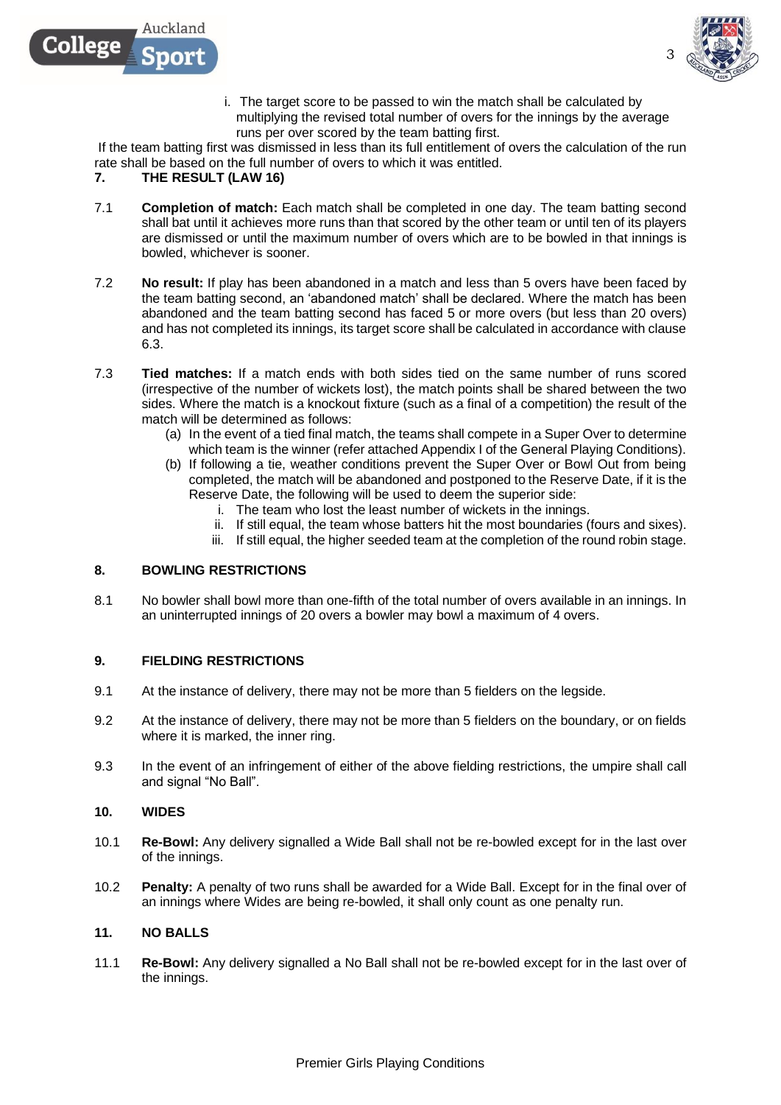



3

i. The target score to be passed to win the match shall be calculated by multiplying the revised total number of overs for the innings by the average runs per over scored by the team batting first.

If the team batting first was dismissed in less than its full entitlement of overs the calculation of the run rate shall be based on the full number of overs to which it was entitled.

#### **7. THE RESULT (LAW 16)**

- 7.1 **Completion of match:** Each match shall be completed in one day. The team batting second shall bat until it achieves more runs than that scored by the other team or until ten of its players are dismissed or until the maximum number of overs which are to be bowled in that innings is bowled, whichever is sooner.
- 7.2 **No result:** If play has been abandoned in a match and less than 5 overs have been faced by the team batting second, an 'abandoned match' shall be declared. Where the match has been abandoned and the team batting second has faced 5 or more overs (but less than 20 overs) and has not completed its innings, its target score shall be calculated in accordance with clause 6.3.
- 7.3 **Tied matches:** If a match ends with both sides tied on the same number of runs scored (irrespective of the number of wickets lost), the match points shall be shared between the two sides. Where the match is a knockout fixture (such as a final of a competition) the result of the match will be determined as follows:
	- (a) In the event of a tied final match, the teams shall compete in a Super Over to determine which team is the winner (refer attached Appendix I of the General Playing Conditions).
	- (b) If following a tie, weather conditions prevent the Super Over or Bowl Out from being completed, the match will be abandoned and postponed to the Reserve Date, if it is the Reserve Date, the following will be used to deem the superior side:
		- i. The team who lost the least number of wickets in the innings.
		- ii. If still equal, the team whose batters hit the most boundaries (fours and sixes).
		- iii. If still equal, the higher seeded team at the completion of the round robin stage.

# **8. BOWLING RESTRICTIONS**

8.1 No bowler shall bowl more than one-fifth of the total number of overs available in an innings. In an uninterrupted innings of 20 overs a bowler may bowl a maximum of 4 overs.

# **9. FIELDING RESTRICTIONS**

- 9.1 At the instance of delivery, there may not be more than 5 fielders on the legside.
- 9.2 At the instance of delivery, there may not be more than 5 fielders on the boundary, or on fields where it is marked, the inner ring.
- 9.3 In the event of an infringement of either of the above fielding restrictions, the umpire shall call and signal "No Ball".

#### **10. WIDES**

- 10.1 **Re-Bowl:** Any delivery signalled a Wide Ball shall not be re-bowled except for in the last over of the innings.
- 10.2 **Penalty:** A penalty of two runs shall be awarded for a Wide Ball. Except for in the final over of an innings where Wides are being re-bowled, it shall only count as one penalty run.

#### **11. NO BALLS**

11.1 **Re-Bowl:** Any delivery signalled a No Ball shall not be re-bowled except for in the last over of the innings.